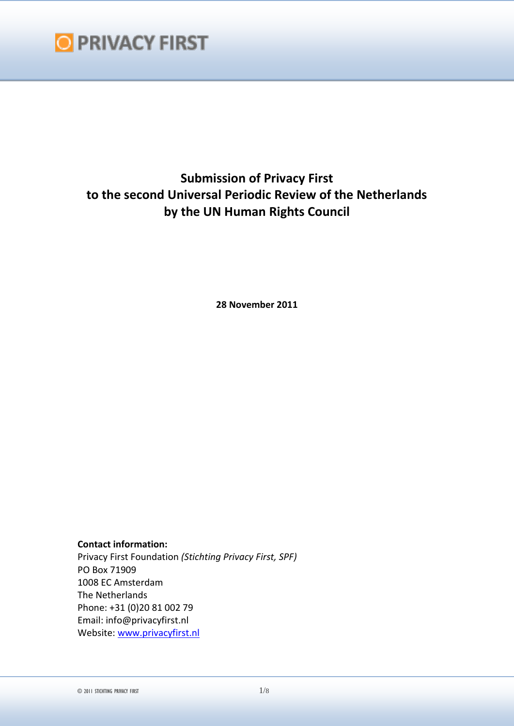

# **Submission of Privacy First to the second Universal Periodic Review of the Netherlands by the UN Human Rights Council**

**28 November 2011**

**Contact information:** Privacy First Foundation *(Stichting Privacy First, SPF)* PO Box 71909 1008 EC Amsterdam The Netherlands Phone: +31 (0)20 81 002 79 Email: info@privacyfirst.nl Website: [www.privacyfirst.nl](http://www.privacyfirst.nl/)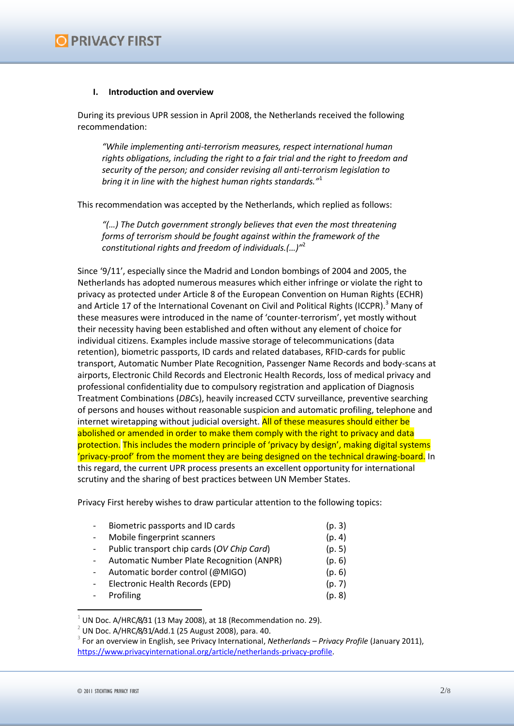### **I. Introduction and overview**

During its previous UPR session in April 2008, the Netherlands received the following recommendation:

*"While implementing anti-terrorism measures, respect international human rights obligations, including the right to a fair trial and the right to freedom and security of the person; and consider revising all anti-terrorism legislation to bring it in line with the highest human rights standards."*<sup>1</sup>

This recommendation was accepted by the Netherlands, which replied as follows:

*"(…) The Dutch government strongly believes that even the most threatening forms of terrorism should be fought against within the framework of the constitutional rights and freedom of individuals.(…)"* 2

Since '9/11', especially since the Madrid and London bombings of 2004 and 2005, the Netherlands has adopted numerous measures which either infringe or violate the right to privacy as protected under Article 8 of the European Convention on Human Rights (ECHR) and Article 17 of the International Covenant on Civil and Political Rights (ICCPR).<sup>3</sup> Many of these measures were introduced in the name of 'counter-terrorism', yet mostly without their necessity having been established and often without any element of choice for individual citizens. Examples include massive storage of telecommunications (data retention), biometric passports, ID cards and related databases, RFID-cards for public transport, Automatic Number Plate Recognition, Passenger Name Records and body-scans at airports, Electronic Child Records and Electronic Health Records, loss of medical privacy and professional confidentiality due to compulsory registration and application of Diagnosis Treatment Combinations (*DBC*s), heavily increased CCTV surveillance, preventive searching of persons and houses without reasonable suspicion and automatic profiling, telephone and internet wiretapping without judicial oversight. All of these measures should either be abolished or amended in order to make them comply with the right to privacy and data protection. This includes the modern principle of 'privacy by design', making digital systems 'privacy-proof' from the moment they are being designed on the technical drawing-board. In this regard, the current UPR process presents an excellent opportunity for international scrutiny and the sharing of best practices between UN Member States.

Privacy First hereby wishes to draw particular attention to the following topics:

|                | Biometric passports and ID cards                 | (p. 3) |
|----------------|--------------------------------------------------|--------|
|                | Mobile fingerprint scanners                      | (p. 4) |
| $\overline{a}$ | Public transport chip cards (OV Chip Card)       | (p. 5) |
|                | <b>Automatic Number Plate Recognition (ANPR)</b> | (p. 6) |
|                | Automatic border control (@MIGO)                 | (p. 6) |
| $\overline{a}$ | Electronic Health Records (EPD)                  | (p. 7) |
|                | Profiling                                        | (p. 8) |
|                |                                                  |        |

<sup>1</sup> UN Doc. A/HRC/8/31 (13 May 2008), at 18 (Recommendation no. 29).

 $2$  UN Doc. A/HRC/8/31/Add.1 (25 August 2008), para. 40.

<sup>3</sup> For an overview in English, see Privacy International, *Netherlands – Privacy Profile* (January 2011), [https://www.privacyinternational.org/article/netherlands-privacy-profile.](https://www.privacyinternational.org/article/netherlands-privacy-profile)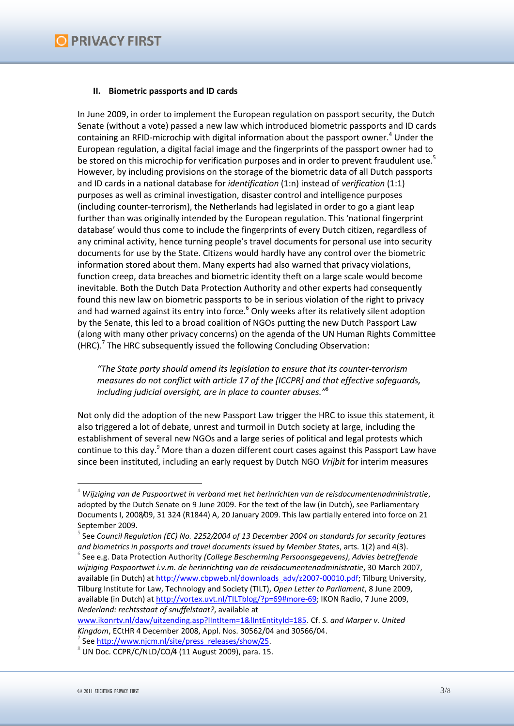#### **II. Biometric passports and ID cards**

In June 2009, in order to implement the European regulation on passport security, the Dutch Senate (without a vote) passed a new law which introduced biometric passports and ID cards containing an RFID-microchip with digital information about the passport owner.<sup>4</sup> Under the European regulation, a digital facial image and the fingerprints of the passport owner had to be stored on this microchip for verification purposes and in order to prevent fraudulent use.<sup>5</sup> However, by including provisions on the storage of the biometric data of all Dutch passports and ID cards in a national database for *identification* (1:n) instead of *verification* (1:1) purposes as well as criminal investigation, disaster control and intelligence purposes (including counter-terrorism), the Netherlands had legislated in order to go a giant leap further than was originally intended by the European regulation. This 'national fingerprint database' would thus come to include the fingerprints of every Dutch citizen, regardless of any criminal activity, hence turning people's travel documents for personal use into security documents for use by the State. Citizens would hardly have any control over the biometric information stored about them. Many experts had also warned that privacy violations, function creep, data breaches and biometric identity theft on a large scale would become inevitable. Both the Dutch Data Protection Authority and other experts had consequently found this new law on biometric passports to be in serious violation of the right to privacy and had warned against its entry into force.<sup>6</sup> Only weeks after its relatively silent adoption by the Senate, this led to a broad coalition of NGOs putting the new Dutch Passport Law (along with many other privacy concerns) on the agenda of the UN Human Rights Committee  $(HRC).<sup>7</sup>$  The HRC subsequently issued the following Concluding Observation:

*"The State party should amend its legislation to ensure that its counter-terrorism measures do not conflict with article 17 of the [ICCPR] and that effective safeguards, including judicial oversight, are in place to counter abuses."* 8

Not only did the adoption of the new Passport Law trigger the HRC to issue this statement, it also triggered a lot of debate, unrest and turmoil in Dutch society at large, including the establishment of several new NGOs and a large series of political and legal protests which continue to this day.<sup>9</sup> More than a dozen different court cases against this Passport Law have since been instituted, including an early request by Dutch NGO *Vrijbit* for interim measures

[www.ikonrtv.nl/daw/uitzending.asp?lIntItem=1&lIntEntityId=185.](http://www.ikonrtv.nl/daw/uitzending.asp?lIntItem=1&lIntEntityId=185) Cf. *S. and Marper v. United Kingdom*, ECtHR 4 December 2008, Appl. Nos. 30562/04 and 30566/04.

<sup>4</sup> *Wijziging van de Paspoortwet in verband met het herinrichten van de reisdocumentenadministratie*, adopted by the Dutch Senate on 9 June 2009. For the text of the law (in Dutch), see Parliamentary Documents I, 2008/09, 31 324 (R1844) A, 20 January 2009. This law partially entered into force on 21 September 2009.

 $^{\rm 5}$  See Council Regulation (EC) No. 2252/2004 of 13 December 2004 on standards for security features *and biometrics in passports and travel documents issued by Member States*, arts. 1(2) and 4(3).

<sup>6</sup> See e.g. Data Protection Authority *(College Bescherming Persoonsgegevens)*, *Advies betreffende wijziging Paspoortwet i.v.m. de herinrichting van de reisdocumentenadministratie*, 30 March 2007, available (in Dutch) at [http://www.cbpweb.nl/downloads\\_adv/z2007-00010.pdf;](http://www.cbpweb.nl/downloads_adv/z2007-00010.pdf) Tilburg University, Tilburg Institute for Law, Technology and Society (TILT), *Open Letter to Parliament*, 8 June 2009, available (in Dutch) at [http://vortex.uvt.nl/TILTblog/?p=69#more-69;](http://vortex.uvt.nl/TILTblog/?p=69#more-69) IKON Radio, 7 June 2009, *Nederland: rechtsstaat of snuffelstaat?*, available at

<sup>&</sup>lt;sup>7</sup> See [http://www.njcm.nl/site/press\\_releases/show/25.](http://www.njcm.nl/site/press_releases/show/25)

 $8$  UN Doc. CCPR/C/NLD/CO/4 (11 August 2009), para. 15.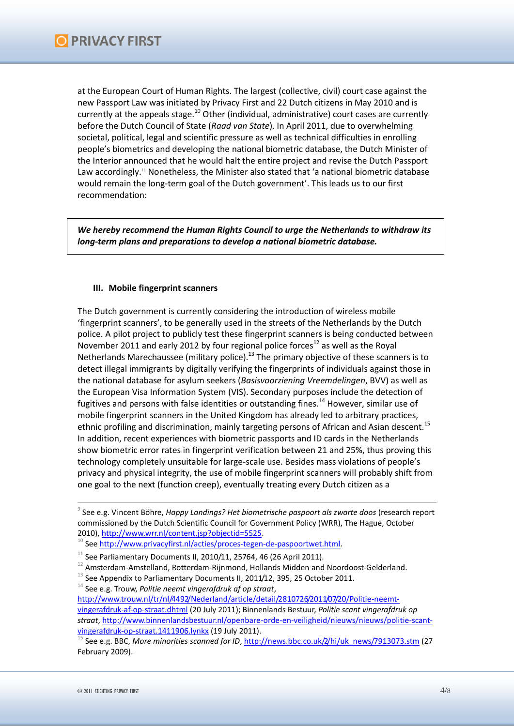at the European Court of Human Rights. The largest (collective, civil) court case against the new Passport Law was initiated by Privacy First and 22 Dutch citizens in May 2010 and is currently at the appeals stage. $10$  Other (individual, administrative) court cases are currently before the Dutch Council of State (*Raad van State*). In April 2011, due to overwhelming societal, political, legal and scientific pressure as well as technical difficulties in enrolling people's biometrics and developing the national biometric database, the Dutch Minister of the Interior announced that he would halt the entire project and revise the Dutch Passport Law accordingly.<sup>11</sup> Nonetheless, the Minister also stated that 'a national biometric database would remain the long-term goal of the Dutch government'. This leads us to our first recommendation:

*We hereby recommend the Human Rights Council to urge the Netherlands to withdraw its long-term plans and preparations to develop a national biometric database.* 

#### **III. Mobile fingerprint scanners**

The Dutch government is currently considering the introduction of wireless mobile 'fingerprint scanners', to be generally used in the streets of the Netherlands by the Dutch police. A pilot project to publicly test these fingerprint scanners is being conducted between November 2011 and early 2012 by four regional police forces $^{12}$  as well as the Royal Netherlands Marechaussee (military police).<sup>13</sup> The primary objective of these scanners is to detect illegal immigrants by digitally verifying the fingerprints of individuals against those in the national database for asylum seekers (*Basisvoorziening Vreemdelingen*, BVV) as well as the European Visa Information System (VIS). Secondary purposes include the detection of fugitives and persons with false identities or outstanding fines.<sup>14</sup> However, similar use of mobile fingerprint scanners in the United Kingdom has already led to arbitrary practices, ethnic profiling and discrimination, mainly targeting persons of African and Asian descent.<sup>15</sup> In addition, recent experiences with biometric passports and ID cards in the Netherlands show biometric error rates in fingerprint verification between 21 and 25%, thus proving this technology completely unsuitable for large-scale use. Besides mass violations of people's privacy and physical integrity, the use of mobile fingerprint scanners will probably shift from one goal to the next (function creep), eventually treating every Dutch citizen as a

<sup>14</sup> See e.g. Trouw, *Politie neemt vingerafdruk af op straat*,

[http://www.trouw.nl/tr/nl/4492/Nederland/article/detail/2810726/2011/07/20/Politie-neemt](http://www.trouw.nl/tr/nl/4492/Nederland/article/detail/2810726/2011/07/20/Politie-neemt-vingerafdruk-af-op-straat.dhtml)[vingerafdruk-af-op-straat.dhtml](http://www.trouw.nl/tr/nl/4492/Nederland/article/detail/2810726/2011/07/20/Politie-neemt-vingerafdruk-af-op-straat.dhtml) (20 July 2011); Binnenlands Bestuur, *Politie scant vingerafdruk op straat*[, http://www.binnenlandsbestuur.nl/openbare-orde-en-veiligheid/nieuws/nieuws/politie-scant](http://www.binnenlandsbestuur.nl/openbare-orde-en-veiligheid/nieuws/nieuws/politie-scant-vingerafdruk-op-straat.1411906.lynkx)[vingerafdruk-op-straat.1411906.lynkx](http://www.binnenlandsbestuur.nl/openbare-orde-en-veiligheid/nieuws/nieuws/politie-scant-vingerafdruk-op-straat.1411906.lynkx) (19 July 2011).

<sup>9</sup> See e.g. Vincent Böhre, *Happy Landings? Het biometrische paspoort als zwarte doos* (research report commissioned by the Dutch Scientific Council for Government Policy (WRR), The Hague, October 2010), [http://www.wrr.nl/content.jsp?objectid=5525.](http://www.wrr.nl/content.jsp?objectid=5525) 

<sup>&</sup>lt;sup>10</sup> See http://www.privacyfirst.nl/acties/proces-tegen-de-paspoortwet.html.

 $11$  See Parliamentary Documents II, 2010/11, 25764, 46 (26 April 2011).

 $12$  Amsterdam-Amstelland, Rotterdam-Rijnmond, Hollands Midden and Noordoost-Gelderland.

 $^{13}$  See Appendix to Parliamentary Documents II, 2011/12, 395, 25 October 2011.

<sup>15</sup> See e.g. BBC, *More minorities scanned for ID*, [http://news.bbc.co.uk/2/hi/uk\\_news/7913073.stm](http://news.bbc.co.uk/2/hi/uk_news/7913073.stm) (27 February 2009).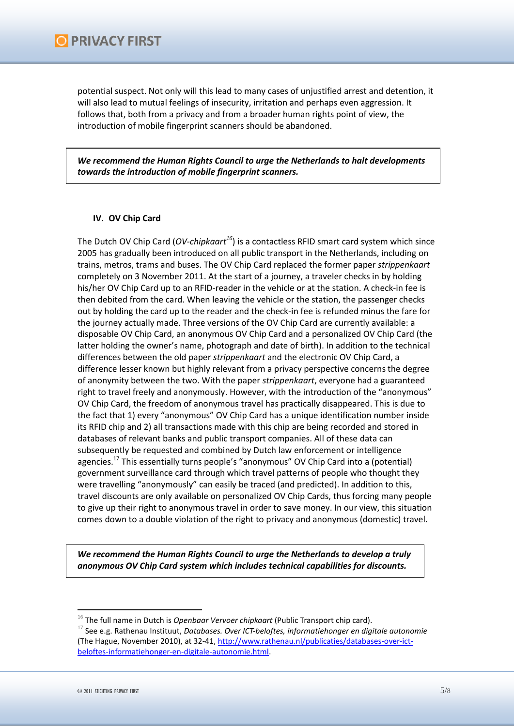potential suspect. Not only will this lead to many cases of unjustified arrest and detention, it will also lead to mutual feelings of insecurity, irritation and perhaps even aggression. It follows that, both from a privacy and from a broader human rights point of view, the introduction of mobile fingerprint scanners should be abandoned.

*We recommend the Human Rights Council to urge the Netherlands to halt developments towards the introduction of mobile fingerprint scanners.*

#### **IV. OV Chip Card**

The Dutch OV Chip Card (*OV-chipkaart<sup>16</sup>*) is a contactless RFID smart card system which since 2005 has gradually been introduced on all public transport in the Netherlands, including on trains, metros, trams and buses. The OV Chip Card replaced the former paper *strippenkaart* completely on 3 November 2011. At the start of a journey, a traveler checks in by holding his/her OV Chip Card up to an RFID-reader in the vehicle or at the station. A check-in fee is then debited from the card. When leaving the vehicle or the station, the passenger checks out by holding the card up to the reader and the check-in fee is refunded minus the fare for the journey actually made. Three versions of the OV Chip Card are currently available: a disposable OV Chip Card, an anonymous OV Chip Card and a personalized OV Chip Card (the latter holding the owner's name, photograph and date of birth). In addition to the technical differences between the old paper *strippenkaart* and the electronic OV Chip Card, a difference lesser known but highly relevant from a privacy perspective concerns the degree of anonymity between the two. With the paper *strippenkaart*, everyone had a guaranteed right to travel freely and anonymously. However, with the introduction of the "anonymous" OV Chip Card, the freedom of anonymous travel has practically disappeared. This is due to the fact that 1) every "anonymous" OV Chip Card has a unique identification number inside its RFID chip and 2) all transactions made with this chip are being recorded and stored in databases of relevant banks and public transport companies. All of these data can subsequently be requested and combined by Dutch law enforcement or intelligence agencies.<sup>17</sup> This essentially turns people's "anonymous" OV Chip Card into a (potential) government surveillance card through which travel patterns of people who thought they were travelling "anonymously" can easily be traced (and predicted). In addition to this, travel discounts are only available on personalized OV Chip Cards, thus forcing many people to give up their right to anonymous travel in order to save money. In our view, this situation comes down to a double violation of the right to privacy and anonymous (domestic) travel.

*We recommend the Human Rights Council to urge the Netherlands to develop a truly anonymous OV Chip Card system which includes technical capabilities for discounts.* 

<sup>16</sup> The full name in Dutch is *Openbaar Vervoer chipkaart* (Public Transport chip card).

<sup>17</sup> See e.g. Rathenau Instituut, *Databases. Over ICT-beloftes, informatiehonger en digitale autonomie* (The Hague, November 2010), at 32-41[, http://www.rathenau.nl/publicaties/databases-over-ict](http://www.rathenau.nl/publicaties/databases-over-ict-beloftes-informatiehonger-en-digitale-autonomie.html)[beloftes-informatiehonger-en-digitale-autonomie.html.](http://www.rathenau.nl/publicaties/databases-over-ict-beloftes-informatiehonger-en-digitale-autonomie.html)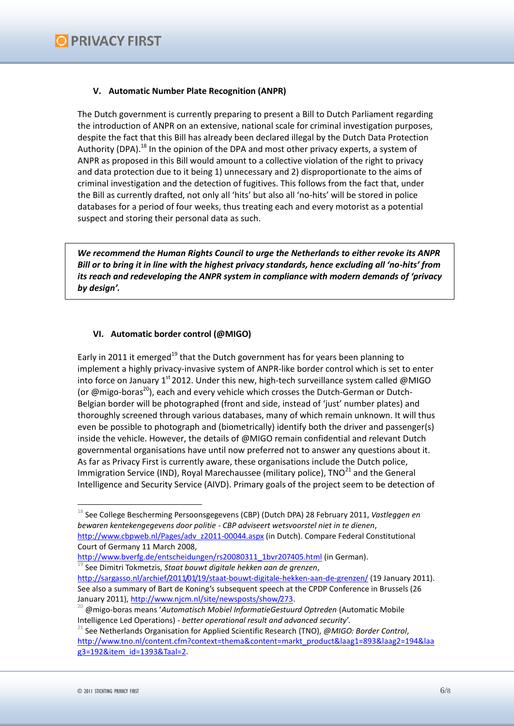## **V. Automatic Number Plate Recognition (ANPR)**

The Dutch government is currently preparing to present a Bill to Dutch Parliament regarding the introduction of ANPR on an extensive, national scale for criminal investigation purposes, despite the fact that this Bill has already been declared illegal by the Dutch Data Protection Authority (DPA).<sup>18</sup> In the opinion of the DPA and most other privacy experts, a system of ANPR as proposed in this Bill would amount to a collective violation of the right to privacy and data protection due to it being 1) unnecessary and 2) disproportionate to the aims of criminal investigation and the detection of fugitives. This follows from the fact that, under the Bill as currently drafted, not only all 'hits' but also all 'no-hits' will be stored in police databases for a period of four weeks, thus treating each and every motorist as a potential suspect and storing their personal data as such.

*We recommend the Human Rights Council to urge the Netherlands to either revoke its ANPR Bill or to bring it in line with the highest privacy standards, hence excluding all 'no-hits' from its reach and redeveloping the ANPR system in compliance with modern demands of 'privacy by design'.* 

## **VI. Automatic border control (@MIGO)**

Early in 2011 it emerged<sup>19</sup> that the Dutch government has for years been planning to implement a highly privacy-invasive system of ANPR-like border control which is set to enter into force on January 1<sup>st</sup> 2012. Under this new, high-tech surveillance system called @MIGO (or  $(\omega_{\text{m}})$  and  $\omega_{\text{m}}$ ), each and every vehicle which crosses the Dutch-German or Dutch-Belgian border will be photographed (front and side, instead of 'just' number plates) and thoroughly screened through various databases, many of which remain unknown. It will thus even be possible to photograph and (biometrically) identify both the driver and passenger(s) inside the vehicle. However, the details of @MIGO remain confidential and relevant Dutch governmental organisations have until now preferred not to answer any questions about it. As far as Privacy First is currently aware, these organisations include the Dutch police, Immigration Service (IND), Royal Marechaussee (military police),  $TNO<sup>21</sup>$  and the General Intelligence and Security Service (AIVD). Primary goals of the project seem to be detection of

<sup>18</sup> See College Bescherming Persoonsgegevens (CBP) (Dutch DPA) 28 February 2011, *Vastleggen en bewaren kentekengegevens door politie - CBP adviseert wetsvoorstel niet in te dienen*, [http://www.cbpweb.nl/Pages/adv\\_z2011-00044.aspx](http://www.cbpweb.nl/Pages/adv_z2011-00044.aspx) (in Dutch). Compare Federal Constitutional Court of Germany 11 March 2008,

[http://www.bverfg.de/entscheidungen/rs20080311\\_1bvr207405.html](http://www.bverfg.de/entscheidungen/rs20080311_1bvr207405.html) (in German). <sup>19</sup> See Dimitri Tokmetzis, *Staat bouwt digitale hekken aan de grenzen*,

<http://sargasso.nl/archief/2011/01/19/staat-bouwt-digitale-hekken-aan-de-grenzen/> (19 January 2011). See also a summary of Bart de Koning's subsequent speech at the CPDP Conference in Brussels (26 January 2011)[, http://www.njcm.nl/site/newsposts/show/273.](http://www.njcm.nl/site/newsposts/show/273)

<sup>20</sup> @migo-boras means '*Automatisch Mobiel InformatieGestuurd Optreden* (Automatic Mobile Intelligence Led Operations) - *better operational result and advanced security*'.

<sup>21</sup> See Netherlands Organisation for Applied Scientific Research (TNO), *@MIGO: Border Control*, [http://www.tno.nl/content.cfm?context=thema&content=markt\\_product&laag1=893&laag2=194&laa](http://www.tno.nl/content.cfm?context=thema&content=markt_product&laag1=893&laag2=194&laag3=192&item_id=1393&Taal=2) [g3=192&item\\_id=1393&Taal=2.](http://www.tno.nl/content.cfm?context=thema&content=markt_product&laag1=893&laag2=194&laag3=192&item_id=1393&Taal=2)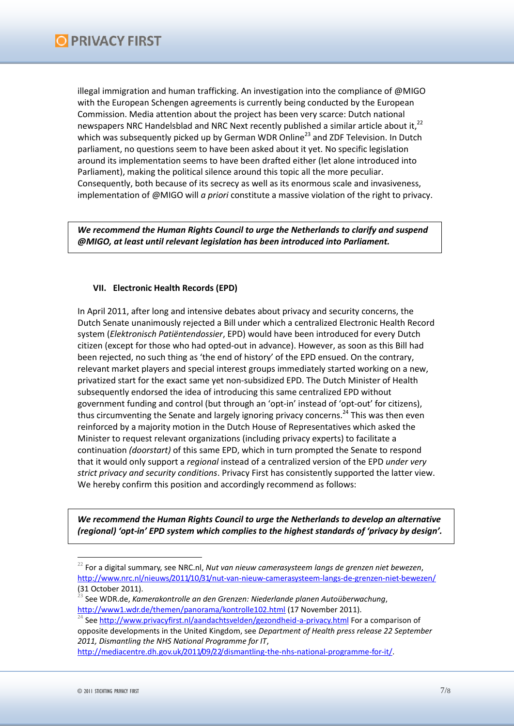illegal immigration and human trafficking. An investigation into the compliance of @MIGO with the European Schengen agreements is currently being conducted by the European Commission. Media attention about the project has been very scarce: Dutch national newspapers NRC Handelsblad and NRC Next recently published a similar article about it,<sup>22</sup> which was subsequently picked up by German WDR Online<sup>23</sup> and ZDF Television. In Dutch parliament, no questions seem to have been asked about it yet. No specific legislation around its implementation seems to have been drafted either (let alone introduced into Parliament), making the political silence around this topic all the more peculiar. Consequently, both because of its secrecy as well as its enormous scale and invasiveness, implementation of @MIGO will *a priori* constitute a massive violation of the right to privacy.

*We recommend the Human Rights Council to urge the Netherlands to clarify and suspend @MIGO, at least until relevant legislation has been introduced into Parliament.* 

## **VII. Electronic Health Records (EPD)**

In April 2011, after long and intensive debates about privacy and security concerns, the Dutch Senate unanimously rejected a Bill under which a centralized Electronic Health Record system (*Elektronisch Patiëntendossier*, EPD) would have been introduced for every Dutch citizen (except for those who had opted-out in advance). However, as soon as this Bill had been rejected, no such thing as 'the end of history' of the EPD ensued. On the contrary, relevant market players and special interest groups immediately started working on a new, privatized start for the exact same yet non-subsidized EPD. The Dutch Minister of Health subsequently endorsed the idea of introducing this same centralized EPD without government funding and control (but through an 'opt-in' instead of 'opt-out' for citizens), thus circumventing the Senate and largely ignoring privacy concerns.<sup>24</sup> This was then even reinforced by a majority motion in the Dutch House of Representatives which asked the Minister to request relevant organizations (including privacy experts) to facilitate a continuation *(doorstart)* of this same EPD, which in turn prompted the Senate to respond that it would only support a *regional* instead of a centralized version of the EPD *under very strict privacy and security conditions*. Privacy First has consistently supported the latter view. We hereby confirm this position and accordingly recommend as follows:

*We recommend the Human Rights Council to urge the Netherlands to develop an alternative (regional) 'opt-in' EPD system which complies to the highest standards of 'privacy by design'.* 

<sup>22</sup> For a digital summary, see NRC.nl, *Nut van nieuw camerasysteem langs de grenzen niet bewezen*, <http://www.nrc.nl/nieuws/2011/10/31/nut-van-nieuw-camerasysteem-langs-de-grenzen-niet-bewezen/> (31 October 2011).

<sup>23</sup> See WDR.de, *Kamerakontrolle an den Grenzen: Niederlande planen Autoüberwachung*, <http://www1.wdr.de/themen/panorama/kontrolle102.html> (17 November 2011).

Se[e http://www.privacyfirst.nl/aandachtsvelden/gezondheid-a-privacy.html](http://www.privacyfirst.nl/aandachtsvelden/gezondheid-a-privacy.html) For a comparison of opposite developments in the United Kingdom, see *Department of Health press release 22 September 2011, Dismantling the NHS National Programme for IT*,

[http://mediacentre.dh.gov.uk/2011/09/22/dismantling-the-nhs-national-programme-for-it/.](http://mediacentre.dh.gov.uk/2011/09/22/dismantling-the-nhs-national-programme-for-it/)